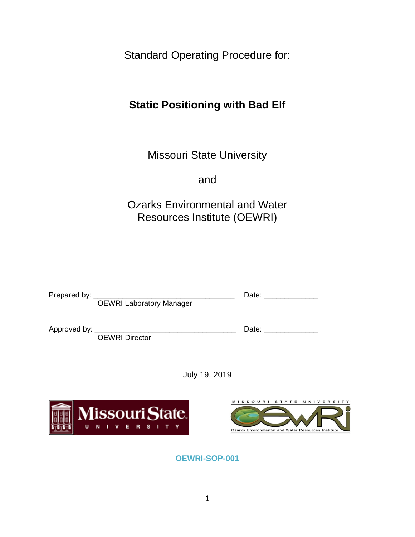Standard Operating Procedure for:

# **Static Positioning with Bad Elf**

Missouri State University

and

Ozarks Environmental and Water Resources Institute (OEWRI)

|   | <b>OEWRI Laboratory Manager</b>        | Date: and the state of the state of the state of the state of the state of the state of the state of the state of the state of the state of the state of the state of the state of the state of the state of the state of the |  |
|---|----------------------------------------|-------------------------------------------------------------------------------------------------------------------------------------------------------------------------------------------------------------------------------|--|
|   | <b>OEWRI</b> Director                  | Date: _______________                                                                                                                                                                                                         |  |
|   | July 19, 2019                          |                                                                                                                                                                                                                               |  |
| U | <b>Missouri State</b><br>R S<br>Е<br>N | MISSOURI STATE UNIVERSI<br>Ozarks Environmental and Water Resources Institute                                                                                                                                                 |  |

**OEWRI-SOP-001**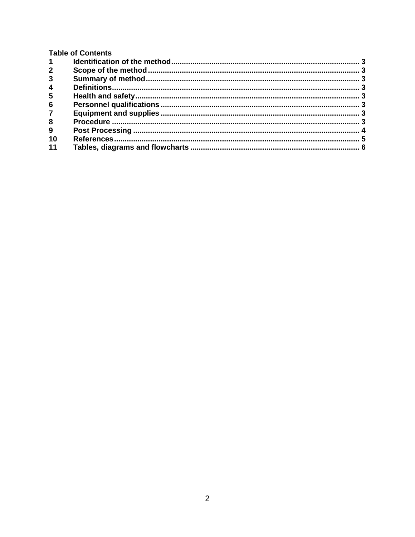|  |  | <b>Table of Contents</b> |
|--|--|--------------------------|
|--|--|--------------------------|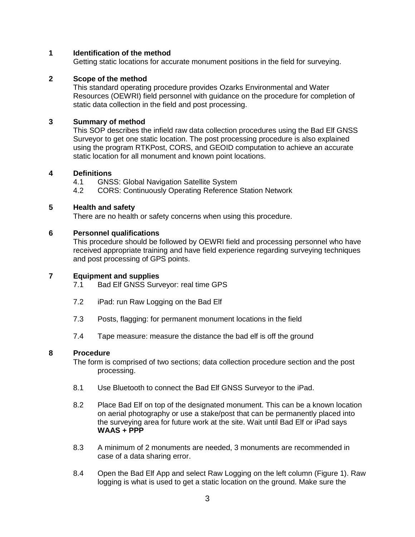### <span id="page-2-0"></span>**1 Identification of the method**

Getting static locations for accurate monument positions in the field for surveying.

### <span id="page-2-1"></span>**2 Scope of the method**

This standard operating procedure provides Ozarks Environmental and Water Resources (OEWRI) field personnel with guidance on the procedure for completion of static data collection in the field and post processing.

## <span id="page-2-2"></span>**3 Summary of method**

This SOP describes the infield raw data collection procedures using the Bad Elf GNSS Surveyor to get one static location. The post processing procedure is also explained using the program RTKPost, CORS, and GEOID computation to achieve an accurate static location for all monument and known point locations.

#### <span id="page-2-3"></span>**4 Definitions**

4.1 GNSS: Global Navigation Satellite System

4.2 CORS: Continuously Operating Reference Station Network

#### <span id="page-2-4"></span>**5 Health and safety**

There are no health or safety concerns when using this procedure.

#### <span id="page-2-5"></span>**6 Personnel qualifications**

This procedure should be followed by OEWRI field and processing personnel who have received appropriate training and have field experience regarding surveying techniques and post processing of GPS points.

## <span id="page-2-6"></span>**7 Equipment and supplies**

- 7.1 Bad Elf GNSS Surveyor: real time GPS
- 7.2 iPad: run Raw Logging on the Bad Elf
- 7.3 Posts, flagging: for permanent monument locations in the field
- 7.4 Tape measure: measure the distance the bad elf is off the ground

#### <span id="page-2-7"></span>**8 Procedure**

The form is comprised of two sections; data collection procedure section and the post processing.

- 8.1 Use Bluetooth to connect the Bad Elf GNSS Surveyor to the iPad.
- 8.2 Place Bad Elf on top of the designated monument. This can be a known location on aerial photography or use a stake/post that can be permanently placed into the surveying area for future work at the site. Wait until Bad Elf or iPad says **WAAS + PPP**
- 8.3 A minimum of 2 monuments are needed, 3 monuments are recommended in case of a data sharing error.
- 8.4 Open the Bad Elf App and select Raw Logging on the left column (Figure 1). Raw logging is what is used to get a static location on the ground. Make sure the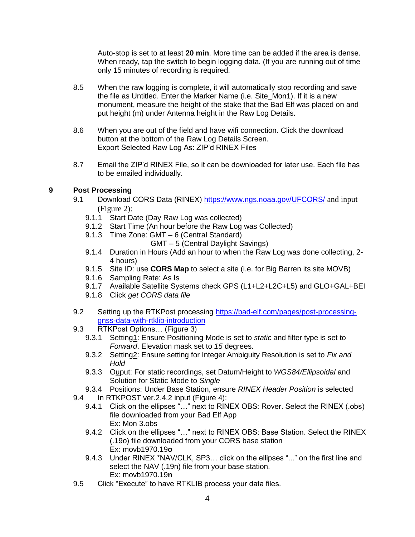Auto-stop is set to at least **20 min**. More time can be added if the area is dense. When ready, tap the switch to begin logging data. (If you are running out of time only 15 minutes of recording is required.

- 8.5 When the raw logging is complete, it will automatically stop recording and save the file as Untitled. Enter the Marker Name (i.e. Site\_Mon1). If it is a new monument, measure the height of the stake that the Bad Elf was placed on and put height (m) under Antenna height in the Raw Log Details.
- 8.6 When you are out of the field and have wifi connection. Click the download button at the bottom of the Raw Log Details Screen. Export Selected Raw Log As: ZIP'd RINEX Files
- 8.7 Email the ZIP'd RINEX File, so it can be downloaded for later use. Each file has to be emailed individually.

# <span id="page-3-0"></span>**9 Post Processing**

- 9.1 Download CORS Data (RINEX)<https://www.ngs.noaa.gov/UFCORS/> and input (Figure 2):
	- 9.1.1 Start Date (Day Raw Log was collected)
	- 9.1.2 Start Time (An hour before the Raw Log was Collected)
	- 9.1.3 Time Zone: GMT 6 (Central Standard)
		- GMT 5 (Central Daylight Savings)
	- 9.1.4 Duration in Hours (Add an hour to when the Raw Log was done collecting, 2- 4 hours)
	- 9.1.5 Site ID: use **CORS Map** to select a site (i.e. for Big Barren its site MOVB)
	- 9.1.6 Sampling Rate: As Is
	- 9.1.7 Available Satellite Systems check GPS (L1+L2+L2C+L5) and GLO+GAL+BEI
	- 9.1.8 Click *get CORS data file*
- 9.2 Setting up the RTKPost processing [https://bad-elf.com/pages/post-processing](https://bad-elf.com/pages/post-processing-gnss-data-with-rtklib-introduction)[gnss-data-with-rtklib-introduction](https://bad-elf.com/pages/post-processing-gnss-data-with-rtklib-introduction)
- 9.3 RTKPost Options... (Figure 3)
	- 9.3.1 Setting1: Ensure Positioning Mode is set to *static* and filter type is set to *Forward*. Elevation mask set to *15* degrees.
	- 9.3.2 Setting2: Ensure setting for Integer Ambiguity Resolution is set to *Fix and Hold*
	- 9.3.3 Ouput: For static recordings, set Datum/Height to *WGS84/Ellipsoidal* and Solution for Static Mode to *Single*
	- 9.3.4 Positions: Under Base Station, ensure *RINEX Header Position* is selected
- 9.4 In RTKPOST ver.2.4.2 input (Figure 4):
	- 9.4.1 Click on the ellipses "…" next to RINEX OBS: Rover. Select the RINEX (.obs) file downloaded from your Bad Elf App Ex: Mon 3.obs
	- 9.4.2 Click on the ellipses "…" next to RINEX OBS: Base Station. Select the RINEX (.19o) file downloaded from your CORS base station Ex: movb1970.19**o**
	- 9.4.3 Under RINEX \*NAV/CLK, SP3… click on the ellipses "..." on the first line and select the NAV (.19n) file from your base station. Ex: movb1970.19**n**
- 9.5 Click "Execute" to have RTKLIB process your data files.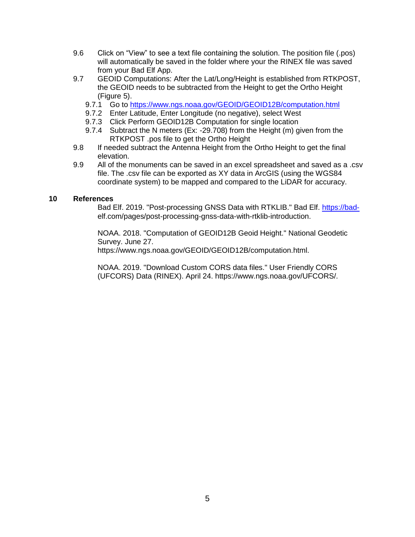- 9.6 Click on "View" to see a text file containing the solution. The position file (.pos) will automatically be saved in the folder where your the RINEX file was saved from your Bad Elf App.
- 9.7 GEOID Computations: After the Lat/Long/Height is established from RTKPOST, the GEOID needs to be subtracted from the Height to get the Ortho Height (Figure 5).
	- 9.7.1 Go to<https://www.ngs.noaa.gov/GEOID/GEOID12B/computation.html>
	- 9.7.2 Enter Latitude, Enter Longitude (no negative), select West
	- 9.7.3 Click Perform GEOID12B Computation for single location<br>9.7.4 Subtract the N meters (Ex: -29.708) from the Height (m) g
	- Subtract the N meters (Ex: -29.708) from the Height (m) given from the RTKPOST .pos file to get the Ortho Height
- 9.8 If needed subtract the Antenna Height from the Ortho Height to get the final elevation.
- 9.9 All of the monuments can be saved in an excel spreadsheet and saved as a .csv file. The .csv file can be exported as XY data in ArcGIS (using the WGS84 coordinate system) to be mapped and compared to the LiDAR for accuracy.

#### <span id="page-4-0"></span>**10 References**

Bad Elf. 2019. "Post-processing GNSS Data with RTKLIB." Bad Elf. [https://bad](https://bad-/)elf.com/pages/post-processing-gnss-data-with-rtklib-introduction.

NOAA. 2018. "Computation of GEOID12B Geoid Height." National Geodetic Survey. June 27.

https://www.ngs.noaa.gov/GEOID/GEOID12B/computation.html.

NOAA. 2019. "Download Custom CORS data files." User Friendly CORS (UFCORS) Data (RINEX). April 24. https://www.ngs.noaa.gov/UFCORS/.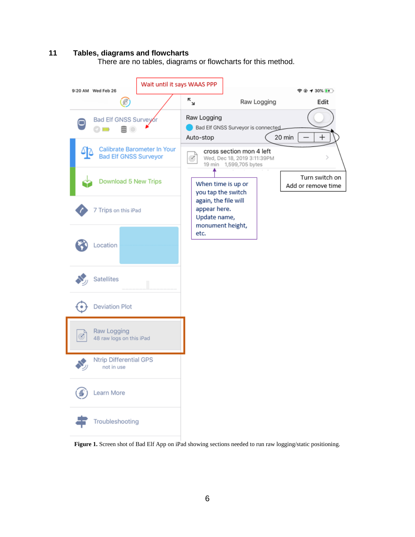#### <span id="page-5-0"></span>**11 Tables, diagrams and flowcharts**

There are no tables, diagrams or flowcharts for this method.



**Figure 1.** Screen shot of Bad Elf App on iPad showing sections needed to run raw logging/static positioning.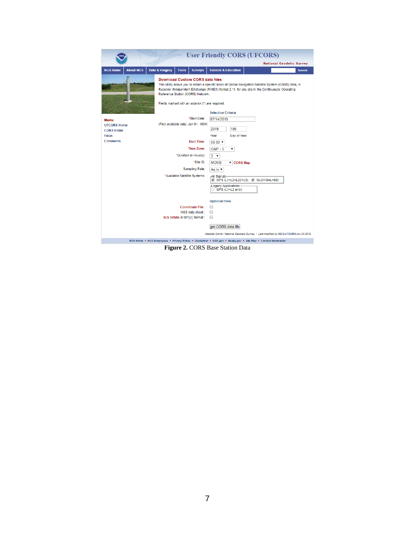| <b>National Geodetic Survey</b><br><b>NGS Home</b><br><b>About NGS</b><br>Data & Imagery<br><b>Science &amp; Education</b><br><b>Tools</b><br><b>Surveys</b><br><b>Search</b><br><b>Download Custom CORS data files</b><br>This utility allows you to obtain a specific block of Global Navigation Satellite System (GNSS) data, in<br>Receiver INdependent EXchange (RINEX) format 2.11, for any site in the Continuously Operating<br>Reference Station (CORS) Network.<br>Fields marked with an asterisk (*) are required.<br><b>Selection Criteria</b><br>*Start Date:<br>07/14/2019<br><b>Menu</b><br>(First available data: Jan 01, 1994)<br><b>UFCORS Home</b><br>195<br>2019<br><b>CORS Home</b><br><b>FAQs</b><br>Year<br>Day of Year<br><b>Comments</b><br><b>Start Time:</b><br>$09:00$ $\blacktriangledown$<br>Time Zone:<br>$GMT - 5$<br>*Duration in Hour(s):<br>$3 \times$<br>*Site ID:<br><b>MOVB</b><br><b>v</b> CORS Map<br>Sampling Rate:<br>As Is $\sqrt{ }$<br>*Available Satellite Systems:<br>-All Signals-<br>GPS (L1+L2+L2C+L5) & GLO+GAL+BEI<br><b>Legacy Applications-</b><br>GPS (L1+L2 only)<br><b>Optional Files</b><br><b>Coordinate File:</b><br>□ | <b>User Friendly CORS (UFCORS)</b> |  |  |  |  |  |  |
|------------------------------------------------------------------------------------------------------------------------------------------------------------------------------------------------------------------------------------------------------------------------------------------------------------------------------------------------------------------------------------------------------------------------------------------------------------------------------------------------------------------------------------------------------------------------------------------------------------------------------------------------------------------------------------------------------------------------------------------------------------------------------------------------------------------------------------------------------------------------------------------------------------------------------------------------------------------------------------------------------------------------------------------------------------------------------------------------------------------------------------------------------------------------------------|------------------------------------|--|--|--|--|--|--|
|                                                                                                                                                                                                                                                                                                                                                                                                                                                                                                                                                                                                                                                                                                                                                                                                                                                                                                                                                                                                                                                                                                                                                                                    |                                    |  |  |  |  |  |  |
|                                                                                                                                                                                                                                                                                                                                                                                                                                                                                                                                                                                                                                                                                                                                                                                                                                                                                                                                                                                                                                                                                                                                                                                    |                                    |  |  |  |  |  |  |
|                                                                                                                                                                                                                                                                                                                                                                                                                                                                                                                                                                                                                                                                                                                                                                                                                                                                                                                                                                                                                                                                                                                                                                                    |                                    |  |  |  |  |  |  |
|                                                                                                                                                                                                                                                                                                                                                                                                                                                                                                                                                                                                                                                                                                                                                                                                                                                                                                                                                                                                                                                                                                                                                                                    |                                    |  |  |  |  |  |  |
|                                                                                                                                                                                                                                                                                                                                                                                                                                                                                                                                                                                                                                                                                                                                                                                                                                                                                                                                                                                                                                                                                                                                                                                    |                                    |  |  |  |  |  |  |
|                                                                                                                                                                                                                                                                                                                                                                                                                                                                                                                                                                                                                                                                                                                                                                                                                                                                                                                                                                                                                                                                                                                                                                                    |                                    |  |  |  |  |  |  |
|                                                                                                                                                                                                                                                                                                                                                                                                                                                                                                                                                                                                                                                                                                                                                                                                                                                                                                                                                                                                                                                                                                                                                                                    |                                    |  |  |  |  |  |  |
|                                                                                                                                                                                                                                                                                                                                                                                                                                                                                                                                                                                                                                                                                                                                                                                                                                                                                                                                                                                                                                                                                                                                                                                    |                                    |  |  |  |  |  |  |
|                                                                                                                                                                                                                                                                                                                                                                                                                                                                                                                                                                                                                                                                                                                                                                                                                                                                                                                                                                                                                                                                                                                                                                                    |                                    |  |  |  |  |  |  |
|                                                                                                                                                                                                                                                                                                                                                                                                                                                                                                                                                                                                                                                                                                                                                                                                                                                                                                                                                                                                                                                                                                                                                                                    |                                    |  |  |  |  |  |  |
|                                                                                                                                                                                                                                                                                                                                                                                                                                                                                                                                                                                                                                                                                                                                                                                                                                                                                                                                                                                                                                                                                                                                                                                    |                                    |  |  |  |  |  |  |
| NGS data sheet:<br>∩                                                                                                                                                                                                                                                                                                                                                                                                                                                                                                                                                                                                                                                                                                                                                                                                                                                                                                                                                                                                                                                                                                                                                               |                                    |  |  |  |  |  |  |
| IGS Orbits in SP3(c) format :<br>□                                                                                                                                                                                                                                                                                                                                                                                                                                                                                                                                                                                                                                                                                                                                                                                                                                                                                                                                                                                                                                                                                                                                                 |                                    |  |  |  |  |  |  |
| get CORS data file<br>Website Owner: National Geodetic Survey / Last modified by NGS.UFCORS Apr 24 2019                                                                                                                                                                                                                                                                                                                                                                                                                                                                                                                                                                                                                                                                                                                                                                                                                                                                                                                                                                                                                                                                            |                                    |  |  |  |  |  |  |
| NOS Home . NGS Employees . Privacy Policy . Disclaimer . USA.gov . Ready.gov . Site Map . Contact Webmaster                                                                                                                                                                                                                                                                                                                                                                                                                                                                                                                                                                                                                                                                                                                                                                                                                                                                                                                                                                                                                                                                        |                                    |  |  |  |  |  |  |

**Figure 2.** CORS Base Station Data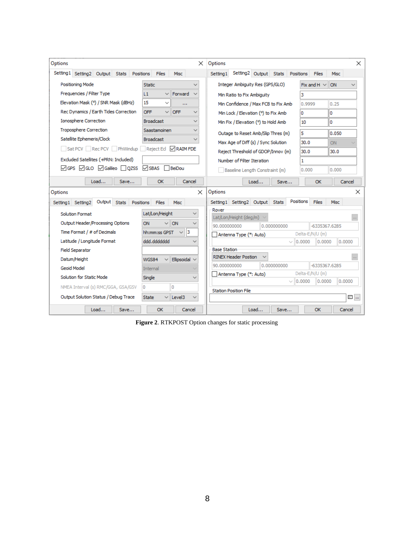| Options                                                                                                                                                                                                                            | $\times$                                 | Options                                                         | ×              |
|------------------------------------------------------------------------------------------------------------------------------------------------------------------------------------------------------------------------------------|------------------------------------------|-----------------------------------------------------------------|----------------|
| Setting1 Setting2 Output Stats Positions                                                                                                                                                                                           | Files<br><b>Misc</b>                     | Setting2 Output Stats Positions<br>Setting 1<br>Files<br>Misc   |                |
| Positioning Mode                                                                                                                                                                                                                   | <b>Static</b>                            | Integer Ambiguity Res (GPS/GLO)<br>Fix and H $\vee$<br>ON       |                |
| Frequencies / Filter Type                                                                                                                                                                                                          | Forward<br>L1<br>$\checkmark$            | з<br>Min Ratio to Fix Ambiguity                                 |                |
| Elevation Mask (°) / SNR Mask (dBHz)                                                                                                                                                                                               | 15<br>$\checkmark$<br>$\cdots$           | Min Confidence / Max FCB to Fix Amb<br>0.25<br>0.9999           |                |
| Rec Dynamics / Earth Tides Correction                                                                                                                                                                                              | <b>OFF</b><br><b>OFF</b><br>$\checkmark$ | 0<br>Min Lock / Elevation (°) to Fix Amb<br>n                   |                |
| <b>Ionosphere Correction</b>                                                                                                                                                                                                       | <b>Broadcast</b>                         | 0<br>Min Fix / Elevation (°) to Hold Amb<br>10                  |                |
| <b>Troposphere Correction</b>                                                                                                                                                                                                      | Saastamoinen<br>✓                        | 5<br>0.050<br>Outage to Reset Amb/Slip Thres (m)                |                |
| Satellite Ephemeris/Clock                                                                                                                                                                                                          | <b>Broadcast</b>                         | 30.0<br>Max Age of Diff (s) / Sync Solution<br>ON               |                |
| Sat PCV Rec PCV PhWindup Reject Ed RAIM FDE                                                                                                                                                                                        |                                          | Reject Threshold of GDOP/Innov (m)<br>30.0<br>30.0              |                |
| Excluded Satellites (+PRN: Included)                                                                                                                                                                                               |                                          | Number of Filter Iteration<br>1                                 |                |
| <b>vers</b> verse versitive versitive versitive versitive versitive versitive versitive versitive versitive versitive versitive versitive versitive versitive versitive versitive versitive versitive versitive versitive versitiv | $\sqrt{S}$ BAS<br>l BeiDou               | 0.000<br>0.000<br>Baseline Length Constraint (m)                |                |
|                                                                                                                                                                                                                                    |                                          |                                                                 |                |
| Load<br>Save                                                                                                                                                                                                                       | <b>OK</b><br>Cancel                      | Load<br><b>OK</b><br>Save<br>Cancel                             |                |
| Options<br>Options<br>$\times$<br>×                                                                                                                                                                                                |                                          |                                                                 |                |
| Positions<br>Setting1 Setting2 Output Stats<br>Setting1 Setting2<br>Output Stats<br>Positions<br><b>Files</b><br>Misc<br>Files<br><b>Misc</b>                                                                                      |                                          |                                                                 |                |
| Solution Format                                                                                                                                                                                                                    | Lat/Lon/Height<br>$\checkmark$           | Rover<br>Lat/Lon/Height (deg/m)                                 | $\bar{\alpha}$ |
| Output Header/Processing Options                                                                                                                                                                                                   | ON<br>ON                                 | -6335367.6285<br>90.000000000<br>0.000000000                    |                |
| Time Format / # of Decimals                                                                                                                                                                                                        | 13<br>hh:mm:ss GPST<br>$\vee$            | Delta-E/N/U (m)<br>Antenna Type (*: Auto)                       |                |
| Latitude / Longitude Format                                                                                                                                                                                                        | hbbbbbb, bbb                             | 0.0000<br>0.0000<br>0.0000<br>$\sim$                            |                |
| Field Separator                                                                                                                                                                                                                    |                                          | <b>Base Station</b>                                             |                |
| Datum/Height                                                                                                                                                                                                                       | WGS84<br>Ellipsoidal $\sim$              | <b>RINEX Header Postion</b>                                     | o i            |
| Geoid Model                                                                                                                                                                                                                        | Internal                                 | -6335367.6285<br>90.000000000<br>0.000000000<br>Delta-E/N/U (m) |                |
| Solution for Static Mode                                                                                                                                                                                                           | Single<br>$\checkmark$                   | Antenna Type (*: Auto)<br>$\vee$ 10.0000<br>0.0000<br>0.0000    |                |
| NMEA Interval (s) RMC/GGA, GSA/GSV                                                                                                                                                                                                 | 0<br>0                                   | <b>Station Position File</b>                                    |                |
| Output Solution Status / Debug Trace                                                                                                                                                                                               | Level3<br><b>State</b>                   | 三 …                                                             |                |
| Load<br>Save                                                                                                                                                                                                                       | <b>OK</b><br>Cancel                      | Load<br><b>OK</b><br>Cancel<br>Save                             |                |

**Figure 2**. RTKPOST Option changes for static processing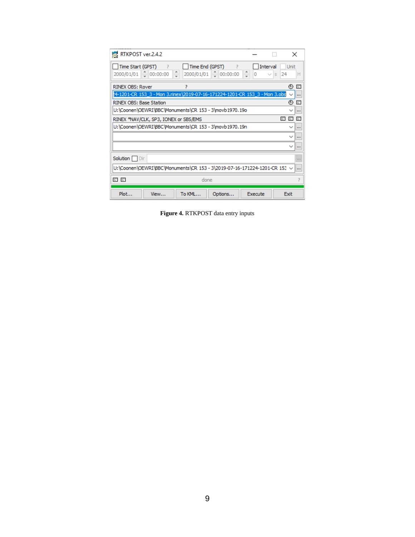| RTKPOST ver.2.4.2                                                                        |                 |                                             |         |                                  | $\times$                     |
|------------------------------------------------------------------------------------------|-----------------|---------------------------------------------|---------|----------------------------------|------------------------------|
| Time Start (GPST)<br>- 2<br>$\frac{1}{2}$ 00:00:00<br>2000/01/01                         | ÷<br>2000/01/01 | Time End (GPST) ?<br>$\frac{1}{2}$ 00:00:00 | ÷<br>0  | Interval<br>24<br>$\overline{S}$ | <b>Unit</b><br>Н             |
| <b>RINEX OBS: Rover</b>                                                                  | 7               |                                             |         |                                  | ⊕<br>$\equiv$                |
| !4-1201-CR 153_3 - Mon 3.rinex\2019-07-16-171224-1201-CR 153_3 - Mon 3.obs               |                 |                                             |         |                                  | m                            |
| RINEX OBS: Base Station                                                                  |                 |                                             |         |                                  | ⊕<br>$\equiv$                |
| U:\Coonen\OEWRI\BBC\Monuments\CR 153 - 3\movb1970.19o                                    |                 |                                             |         |                                  | $\cdots$                     |
| 巨<br>Ε<br>$\equiv$<br>RINEX *NAV/CLK, SP3, IONEX or SBS/EMS                              |                 |                                             |         |                                  |                              |
| U:\Coonen\OEWRI\BBC\Monuments\CR 153 - 3\movb1970.19n                                    |                 |                                             |         |                                  | $\checkmark$<br>$\cdots$     |
|                                                                                          |                 |                                             |         |                                  | $\checkmark$<br>$\cdots$     |
|                                                                                          |                 |                                             |         |                                  | $\checkmark$<br>$\mathbf{u}$ |
| Solution Dir<br>1.1.1                                                                    |                 |                                             |         |                                  |                              |
| U:\Coonen\OEWRI\BBC\Monuments\CR 153 - 3\2019-07-16-171224-1201-CR 153 ~<br><b>I</b> and |                 |                                             |         |                                  |                              |
| 리 티<br>done                                                                              |                 |                                             |         |                                  |                              |
| Plot<br>View                                                                             | To KML          | Options                                     | Execute |                                  | Exit                         |

**Figure 4.** RTKPOST data entry inputs